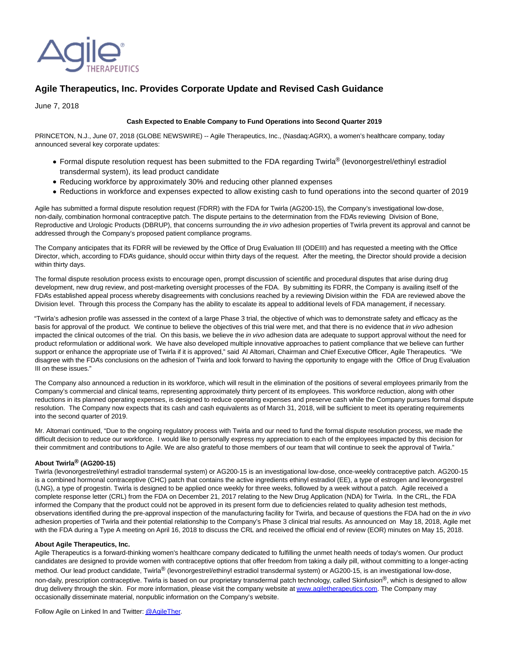

# **Agile Therapeutics, Inc. Provides Corporate Update and Revised Cash Guidance**

June 7, 2018

## **Cash Expected to Enable Company to Fund Operations into Second Quarter 2019**

PRINCETON, N.J., June 07, 2018 (GLOBE NEWSWIRE) -- Agile Therapeutics, Inc., (Nasdaq:AGRX), a women's healthcare company, today announced several key corporate updates:

- Formal dispute resolution request has been submitted to the FDA regarding Twirla® (levonorgestrel/ethinyl estradiol transdermal system), its lead product candidate
- Reducing workforce by approximately 30% and reducing other planned expenses
- Reductions in workforce and expenses expected to allow existing cash to fund operations into the second quarter of 2019

Agile has submitted a formal dispute resolution request (FDRR) with the FDA for Twirla (AG200-15), the Company's investigational low-dose, non-daily, combination hormonal contraceptive patch. The dispute pertains to the determination from the FDA's reviewing Division of Bone, Reproductive and Urologic Products (DBRUP), that concerns surrounding the in vivo adhesion properties of Twirla prevent its approval and cannot be addressed through the Company's proposed patient compliance programs.

The Company anticipates that its FDRR will be reviewed by the Office of Drug Evaluation III (ODEIII) and has requested a meeting with the Office Director, which, according to FDA's guidance, should occur within thirty days of the request. After the meeting, the Director should provide a decision within thirty days.

The formal dispute resolution process exists to encourage open, prompt discussion of scientific and procedural disputes that arise during drug development, new drug review, and post-marketing oversight processes of the FDA. By submitting its FDRR, the Company is availing itself of the FDA's established appeal process whereby disagreements with conclusions reached by a reviewing Division within the FDA are reviewed above the Division level. Through this process the Company has the ability to escalate its appeal to additional levels of FDA management, if necessary.

"Twirla's adhesion profile was assessed in the context of a large Phase 3 trial, the objective of which was to demonstrate safety and efficacy as the basis for approval of the product. We continue to believe the objectives of this trial were met, and that there is no evidence that in vivo adhesion impacted the clinical outcomes of the trial. On this basis, we believe the in vivo adhesion data are adequate to support approval without the need for product reformulation or additional work. We have also developed multiple innovative approaches to patient compliance that we believe can further support or enhance the appropriate use of Twirla if it is approved," said Al Altomari, Chairman and Chief Executive Officer, Agile Therapeutics. "We disagree with the FDA's conclusions on the adhesion of Twirla and look forward to having the opportunity to engage with the Office of Drug Evaluation III on these issues."

The Company also announced a reduction in its workforce, which will result in the elimination of the positions of several employees primarily from the Company's commercial and clinical teams, representing approximately thirty percent of its employees. This workforce reduction, along with other reductions in its planned operating expenses, is designed to reduce operating expenses and preserve cash while the Company pursues formal dispute resolution. The Company now expects that its cash and cash equivalents as of March 31, 2018, will be sufficient to meet its operating requirements into the second quarter of 2019.

Mr. Altomari continued, "Due to the ongoing regulatory process with Twirla and our need to fund the formal dispute resolution process, we made the difficult decision to reduce our workforce. I would like to personally express my appreciation to each of the employees impacted by this decision for their commitment and contributions to Agile. We are also grateful to those members of our team that will continue to seek the approval of Twirla."

#### **About Twirla® (AG200-15)**

Twirla (levonorgestrel/ethinyl estradiol transdermal system) or AG200-15 is an investigational low-dose, once-weekly contraceptive patch. AG200-15 is a combined hormonal contraceptive (CHC) patch that contains the active ingredients ethinyl estradiol (EE), a type of estrogen and levonorgestrel (LNG), a type of progestin. Twirla is designed to be applied once weekly for three weeks, followed by a week without a patch. Agile received a complete response letter (CRL) from the FDA on December 21, 2017 relating to the New Drug Application (NDA) for Twirla. In the CRL, the FDA informed the Company that the product could not be approved in its present form due to deficiencies related to quality adhesion test methods, observations identified during the pre-approval inspection of the manufacturing facility for Twirla, and because of questions the FDA had on the in vivo adhesion properties of Twirla and their potential relationship to the Company's Phase 3 clinical trial results. As announced on May 18, 2018, Agile met with the FDA during a Type A meeting on April 16, 2018 to discuss the CRL and received the official end of review (EOR) minutes on May 15, 2018.

### **About Agile Therapeutics, Inc.**

Agile Therapeutics is a forward-thinking women's healthcare company dedicated to fulfilling the unmet health needs of today's women. Our product candidates are designed to provide women with contraceptive options that offer freedom from taking a daily pill, without committing to a longer-acting method. Our lead product candidate, Twirla<sup>®</sup> (levonorgestrel/ethinyl estradiol transdermal system) or AG200-15, is an investigational low-dose, non-daily, prescription contraceptive. Twirla is based on our proprietary transdermal patch technology, called Skinfusion®, which is designed to allow drug delivery through the skin. For more information, please visit the company website a[t www.agiletherapeutics.com.](https://www.globenewswire.com/Tracker?data=OiCBRol38HGZWHwKy5uoiCZxsqjAaXVp81VaHrVq7901Ft5DjHJzWc54ZVJb69cJPmOr9E8YJv-QEefMfVJjT99CCW56hgO0duzfCQNTQqI=) The Company may occasionally disseminate material, nonpublic information on the Company's website.

Follow Agile on Linked In and Twitter[: @AgileTher.](https://www.globenewswire.com/Tracker?data=QO3Frrpq-2Ao72yQ8UVi_Vhu9mQzKMx86DO1qSunsdJf1nNASYn0ShKKFxOnL24YjHmBgHaBiL7JLMEIdSX6f2kAv4_UIoNsoi33fP84yu5pixRaAWkIkRfhjMrJ-5j_EujIA1GzTVza-TpMe82HQ3CICGNdsHd3gUrOA6QJQxNWRVSYTVknCt3uuKCIK-EmXN0N6kseulQVVwuEoxc0IFMqgInp8oVLBsIO7QHJHu0=)